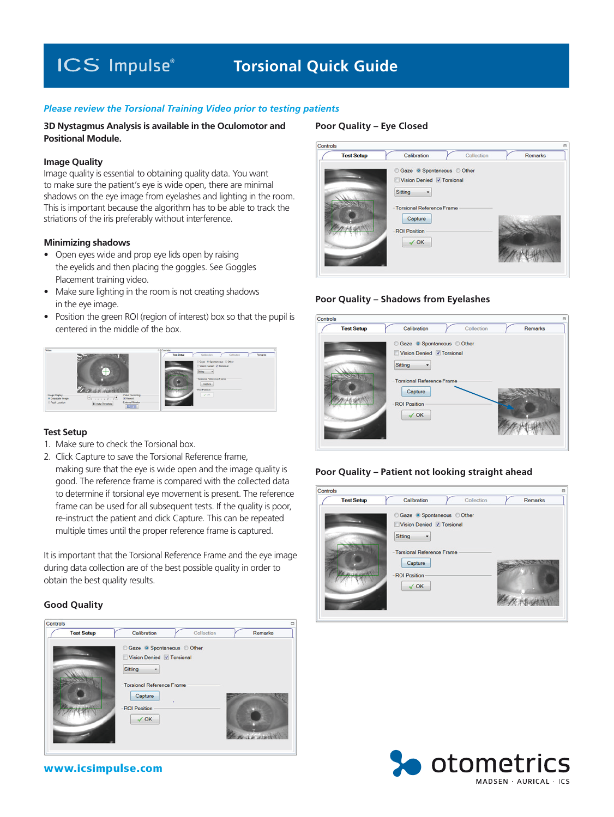# ICS Impulse®

# **Torsional Quick Guide**

# *Please review the Torsional Training Video prior to testing patients*

## **3D Nystagmus Analysis is available in the Oculomotor and Positional Module.**

#### **Image Quality**

Image quality is essential to obtaining quality data. You want to make sure the patient's eye is wide open, there are minimal shadows on the eye image from eyelashes and lighting in the room. This is important because the algorithm has to be able to track the striations of the iris preferably without interference.

## **Minimizing shadows**

- Open eyes wide and prop eye lids open by raising the eyelids and then placing the goggles. See Goggles Placement training video.
- Make sure lighting in the room is not creating shadows in the eye image.
- Position the green ROI (region of interest) box so that the pupil is centered in the middle of the box.



#### **Test Setup**

- 1. Make sure to check the Torsional box.
- 2. Click Capture to save the Torsional Reference frame,
- making sure that the eye is wide open and the image quality is good. The reference frame is compared with the collected data to determine if torsional eye movement is present. The reference frame can be used for all subsequent tests. If the quality is poor, re-instruct the patient and click Capture. This can be repeated multiple times until the proper reference frame is captured.

It is important that the Torsional Reference Frame and the eye image during data collection are of the best possible quality in order to obtain the best quality results.

# **Good Quality**



**www.icsimpulse.com**

## **Poor Quality – Eye Closed**



## **Poor Quality – Shadows from Eyelashes**

| Controls          |                              |            | Б              |
|-------------------|------------------------------|------------|----------------|
| <b>Test Setup</b> | Calibration                  | Collection | <b>Remarks</b> |
|                   | C Gaze © Spontaneous C Other |            |                |
|                   | Vision Denied V Torsional    |            |                |
|                   | <b>Sitting</b>               |            |                |
|                   |                              |            |                |
|                   | - Torsional Reference Frame  |            |                |
|                   | Capture                      |            |                |
|                   | -ROI Position                |            |                |
|                   | $\sqrt{0K}$                  |            |                |
|                   |                              |            |                |
|                   |                              |            |                |
|                   |                              |            |                |

# **Poor Quality – Patient not looking straight ahead**